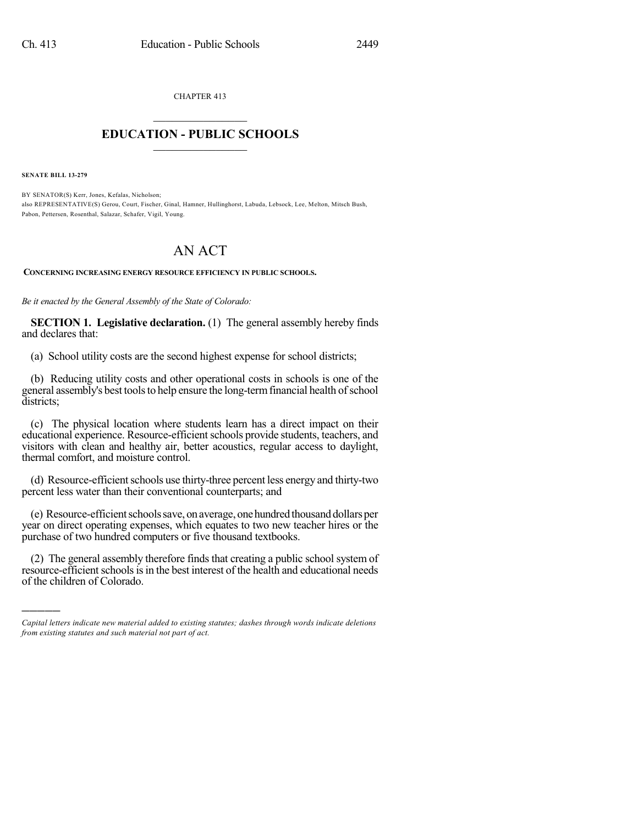CHAPTER 413

## $\overline{\phantom{a}}$  . The set of the set of the set of the set of the set of the set of the set of the set of the set of the set of the set of the set of the set of the set of the set of the set of the set of the set of the set o **EDUCATION - PUBLIC SCHOOLS**  $\_$   $\_$   $\_$   $\_$   $\_$   $\_$   $\_$   $\_$   $\_$

**SENATE BILL 13-279**

)))))

BY SENATOR(S) Kerr, Jones, Kefalas, Nicholson; also REPRESENTATIVE(S) Gerou, Court, Fischer, Ginal, Hamner, Hullinghorst, Labuda, Lebsock, Lee, Melton, Mitsch Bush, Pabon, Pettersen, Rosenthal, Salazar, Schafer, Vigil, Young.

## AN ACT

**CONCERNING INCREASING ENERGY RESOURCE EFFICIENCY IN PUBLIC SCHOOLS.**

*Be it enacted by the General Assembly of the State of Colorado:*

**SECTION 1. Legislative declaration.** (1) The general assembly hereby finds and declares that:

(a) School utility costs are the second highest expense for school districts;

(b) Reducing utility costs and other operational costs in schools is one of the general assembly's best tools to help ensure the long-term financial health of school districts;

(c) The physical location where students learn has a direct impact on their educational experience. Resource-efficient schools provide students, teachers, and visitors with clean and healthy air, better acoustics, regular access to daylight, thermal comfort, and moisture control.

(d) Resource-efficient schools use thirty-three percent less energy and thirty-two percent less water than their conventional counterparts; and

(e) Resource-efficient schools save, on average, one hundred thousand dollars per year on direct operating expenses, which equates to two new teacher hires or the purchase of two hundred computers or five thousand textbooks.

(2) The general assembly therefore finds that creating a public school system of resource-efficient schools is in the best interest of the health and educational needs of the children of Colorado.

*Capital letters indicate new material added to existing statutes; dashes through words indicate deletions from existing statutes and such material not part of act.*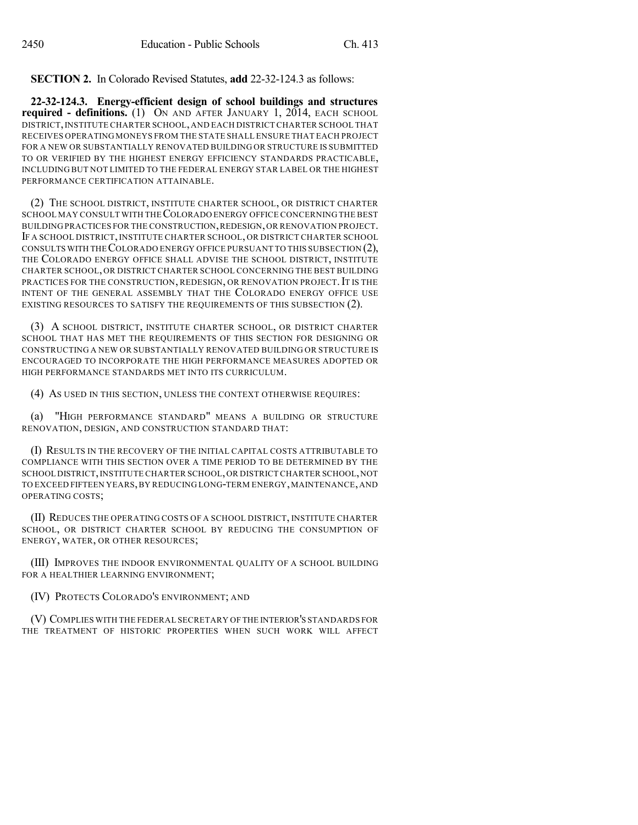**SECTION 2.** In Colorado Revised Statutes, **add** 22-32-124.3 as follows:

**22-32-124.3. Energy-efficient design of school buildings and structures required - definitions.** (1) ON AND AFTER JANUARY 1, 2014, EACH SCHOOL DISTRICT,INSTITUTE CHARTER SCHOOL,AND EACH DISTRICT CHARTER SCHOOL THAT RECEIVES OPERATING MONEYS FROM THE STATE SHALL ENSURE THAT EACH PROJECT FOR A NEW OR SUBSTANTIALLY RENOVATED BUILDING OR STRUCTURE IS SUBMITTED TO OR VERIFIED BY THE HIGHEST ENERGY EFFICIENCY STANDARDS PRACTICABLE, INCLUDING BUT NOT LIMITED TO THE FEDERAL ENERGY STAR LABEL OR THE HIGHEST PERFORMANCE CERTIFICATION ATTAINABLE.

(2) THE SCHOOL DISTRICT, INSTITUTE CHARTER SCHOOL, OR DISTRICT CHARTER SCHOOL MAY CONSULT WITH THECOLORADO ENERGY OFFICE CONCERNING THE BEST BUILDING PRACTICES FOR THE CONSTRUCTION,REDESIGN,OR RENOVATION PROJECT. IF A SCHOOL DISTRICT, INSTITUTE CHARTER SCHOOL, OR DISTRICT CHARTER SCHOOL CONSULTS WITH THECOLORADO ENERGY OFFICE PURSUANT TO THIS SUBSECTION (2), THE COLORADO ENERGY OFFICE SHALL ADVISE THE SCHOOL DISTRICT, INSTITUTE CHARTER SCHOOL, OR DISTRICT CHARTER SCHOOL CONCERNING THE BEST BUILDING PRACTICES FOR THE CONSTRUCTION, REDESIGN, OR RENOVATION PROJECT. IT IS THE INTENT OF THE GENERAL ASSEMBLY THAT THE COLORADO ENERGY OFFICE USE EXISTING RESOURCES TO SATISFY THE REQUIREMENTS OF THIS SUBSECTION (2).

(3) A SCHOOL DISTRICT, INSTITUTE CHARTER SCHOOL, OR DISTRICT CHARTER SCHOOL THAT HAS MET THE REQUIREMENTS OF THIS SECTION FOR DESIGNING OR CONSTRUCTING A NEW OR SUBSTANTIALLY RENOVATED BUILDING OR STRUCTURE IS ENCOURAGED TO INCORPORATE THE HIGH PERFORMANCE MEASURES ADOPTED OR HIGH PERFORMANCE STANDARDS MET INTO ITS CURRICULUM.

(4) AS USED IN THIS SECTION, UNLESS THE CONTEXT OTHERWISE REQUIRES:

(a) "HIGH PERFORMANCE STANDARD" MEANS A BUILDING OR STRUCTURE RENOVATION, DESIGN, AND CONSTRUCTION STANDARD THAT:

(I) RESULTS IN THE RECOVERY OF THE INITIAL CAPITAL COSTS ATTRIBUTABLE TO COMPLIANCE WITH THIS SECTION OVER A TIME PERIOD TO BE DETERMINED BY THE SCHOOL DISTRICT, INSTITUTE CHARTER SCHOOL, OR DISTRICT CHARTER SCHOOL, NOT TO EXCEED FIFTEEN YEARS,BY REDUCING LONG-TERM ENERGY,MAINTENANCE,AND OPERATING COSTS;

(II) REDUCES THE OPERATING COSTS OF A SCHOOL DISTRICT, INSTITUTE CHARTER SCHOOL, OR DISTRICT CHARTER SCHOOL BY REDUCING THE CONSUMPTION OF ENERGY, WATER, OR OTHER RESOURCES;

(III) IMPROVES THE INDOOR ENVIRONMENTAL QUALITY OF A SCHOOL BUILDING FOR A HEALTHIER LEARNING ENVIRONMENT;

(IV) PROTECTS COLORADO'S ENVIRONMENT; AND

(V) COMPLIES WITH THE FEDERAL SECRETARY OF THE INTERIOR'S STANDARDS FOR THE TREATMENT OF HISTORIC PROPERTIES WHEN SUCH WORK WILL AFFECT